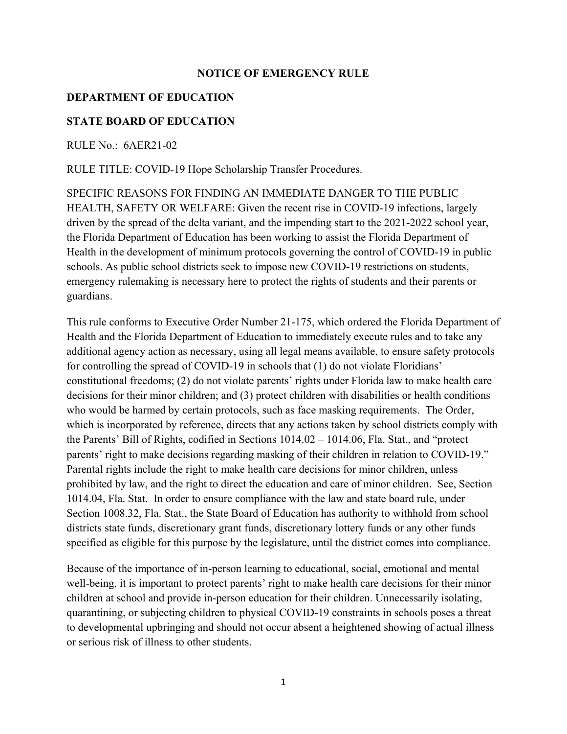## **NOTICE OF EMERGENCY RULE**

## **DEPARTMENT OF EDUCATION**

## **STATE BOARD OF EDUCATION**

RULE No.: 6AER21-02

RULE TITLE: COVID-19 Hope Scholarship Transfer Procedures.

SPECIFIC REASONS FOR FINDING AN IMMEDIATE DANGER TO THE PUBLIC HEALTH, SAFETY OR WELFARE: Given the recent rise in COVID-19 infections, largely driven by the spread of the delta variant, and the impending start to the 2021-2022 school year, the Florida Department of Education has been working to assist the Florida Department of Health in the development of minimum protocols governing the control of COVID-19 in public schools. As public school districts seek to impose new COVID-19 restrictions on students, emergency rulemaking is necessary here to protect the rights of students and their parents or guardians.

This rule conforms to Executive Order Number 21-175, which ordered the Florida Department of Health and the Florida Department of Education to immediately execute rules and to take any additional agency action as necessary, using all legal means available, to ensure safety protocols for controlling the spread of COVID-19 in schools that (1) do not violate Floridians' constitutional freedoms; (2) do not violate parents' rights under Florida law to make health care decisions for their minor children; and (3) protect children with disabilities or health conditions who would be harmed by certain protocols, such as face masking requirements. The Order, which is incorporated by reference, directs that any actions taken by school districts comply with the Parents' Bill of Rights, codified in Sections 1014.02 – 1014.06, Fla. Stat., and "protect parents' right to make decisions regarding masking of their children in relation to COVID-19." Parental rights include the right to make health care decisions for minor children, unless prohibited by law, and the right to direct the education and care of minor children. See, Section 1014.04, Fla. Stat. In order to ensure compliance with the law and state board rule, under Section 1008.32, Fla. Stat., the State Board of Education has authority to withhold from school districts state funds, discretionary grant funds, discretionary lottery funds or any other funds specified as eligible for this purpose by the legislature, until the district comes into compliance.

Because of the importance of in-person learning to educational, social, emotional and mental well-being, it is important to protect parents' right to make health care decisions for their minor children at school and provide in-person education for their children. Unnecessarily isolating, quarantining, or subjecting children to physical COVID-19 constraints in schools poses a threat to developmental upbringing and should not occur absent a heightened showing of actual illness or serious risk of illness to other students.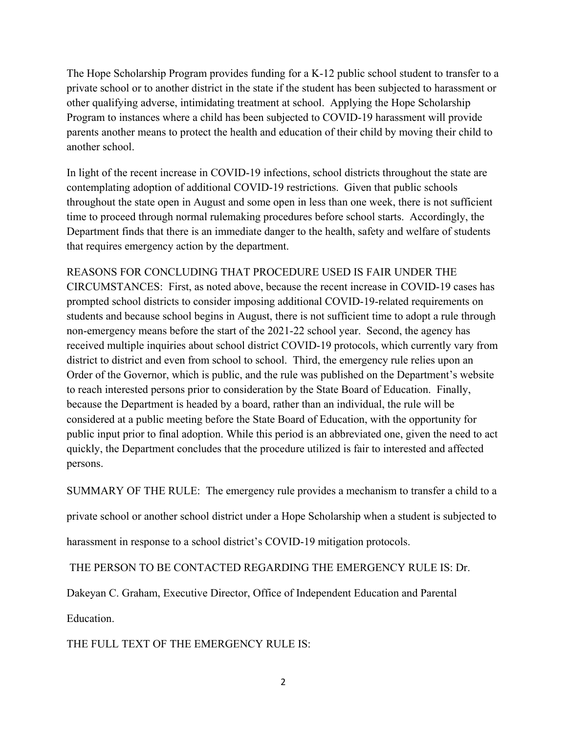The Hope Scholarship Program provides funding for a K-12 public school student to transfer to a private school or to another district in the state if the student has been subjected to harassment or other qualifying adverse, intimidating treatment at school. Applying the Hope Scholarship Program to instances where a child has been subjected to COVID-19 harassment will provide parents another means to protect the health and education of their child by moving their child to another school.

In light of the recent increase in COVID-19 infections, school districts throughout the state are contemplating adoption of additional COVID-19 restrictions. Given that public schools throughout the state open in August and some open in less than one week, there is not sufficient time to proceed through normal rulemaking procedures before school starts. Accordingly, the Department finds that there is an immediate danger to the health, safety and welfare of students that requires emergency action by the department.

REASONS FOR CONCLUDING THAT PROCEDURE USED IS FAIR UNDER THE CIRCUMSTANCES: First, as noted above, because the recent increase in COVID-19 cases has prompted school districts to consider imposing additional COVID-19-related requirements on students and because school begins in August, there is not sufficient time to adopt a rule through non-emergency means before the start of the 2021-22 school year. Second, the agency has received multiple inquiries about school district COVID-19 protocols, which currently vary from district to district and even from school to school. Third, the emergency rule relies upon an Order of the Governor, which is public, and the rule was published on the Department's website to reach interested persons prior to consideration by the State Board of Education. Finally, because the Department is headed by a board, rather than an individual, the rule will be considered at a public meeting before the State Board of Education, with the opportunity for public input prior to final adoption. While this period is an abbreviated one, given the need to act quickly, the Department concludes that the procedure utilized is fair to interested and affected persons.

SUMMARY OF THE RULE: The emergency rule provides a mechanism to transfer a child to a

private school or another school district under a Hope Scholarship when a student is subjected to

harassment in response to a school district's COVID-19 mitigation protocols.

THE PERSON TO BE CONTACTED REGARDING THE EMERGENCY RULE IS: Dr.

Dakeyan C. Graham, Executive Director, Office of Independent Education and Parental

Education.

THE FULL TEXT OF THE EMERGENCY RULE IS: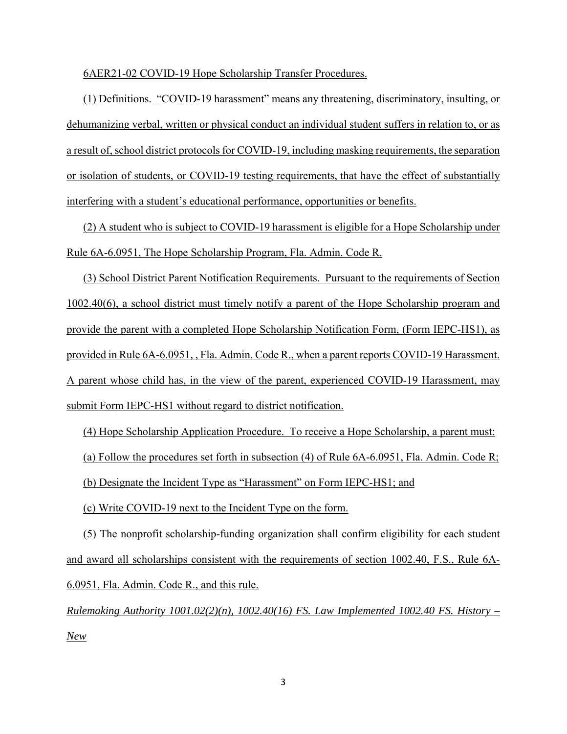6AER21-02 COVID-19 Hope Scholarship Transfer Procedures.

(1) Definitions. "COVID-19 harassment" means any threatening, discriminatory, insulting, or dehumanizing verbal, written or physical conduct an individual student suffers in relation to, or as a result of, school district protocols for COVID-19, including masking requirements, the separation or isolation of students, or COVID-19 testing requirements, that have the effect of substantially interfering with a student's educational performance, opportunities or benefits.

(2) A student who is subject to COVID-19 harassment is eligible for a Hope Scholarship under Rule 6A-6.0951, The Hope Scholarship Program, Fla. Admin. Code R.

(3) School District Parent Notification Requirements. Pursuant to the requirements of Section 1002.40(6), a school district must timely notify a parent of the Hope Scholarship program and provide the parent with a completed Hope Scholarship Notification Form, (Form IEPC-HS1), as provided in Rule 6A-6.0951, , Fla. Admin. Code R., when a parent reports COVID-19 Harassment. A parent whose child has, in the view of the parent, experienced COVID-19 Harassment, may submit Form IEPC-HS1 without regard to district notification.

(4) Hope Scholarship Application Procedure. To receive a Hope Scholarship, a parent must:

(a) Follow the procedures set forth in subsection (4) of Rule 6A-6.0951, Fla. Admin. Code R;

(b) Designate the Incident Type as "Harassment" on Form IEPC-HS1; and

(c) Write COVID-19 next to the Incident Type on the form.

(5) The nonprofit scholarship-funding organization shall confirm eligibility for each student and award all scholarships consistent with the requirements of section 1002.40, F.S., Rule 6A-6.0951, Fla. Admin. Code R., and this rule.

*Rulemaking Authority 1001.02(2)(n), 1002.40(16) FS. Law Implemented 1002.40 FS. History – New*